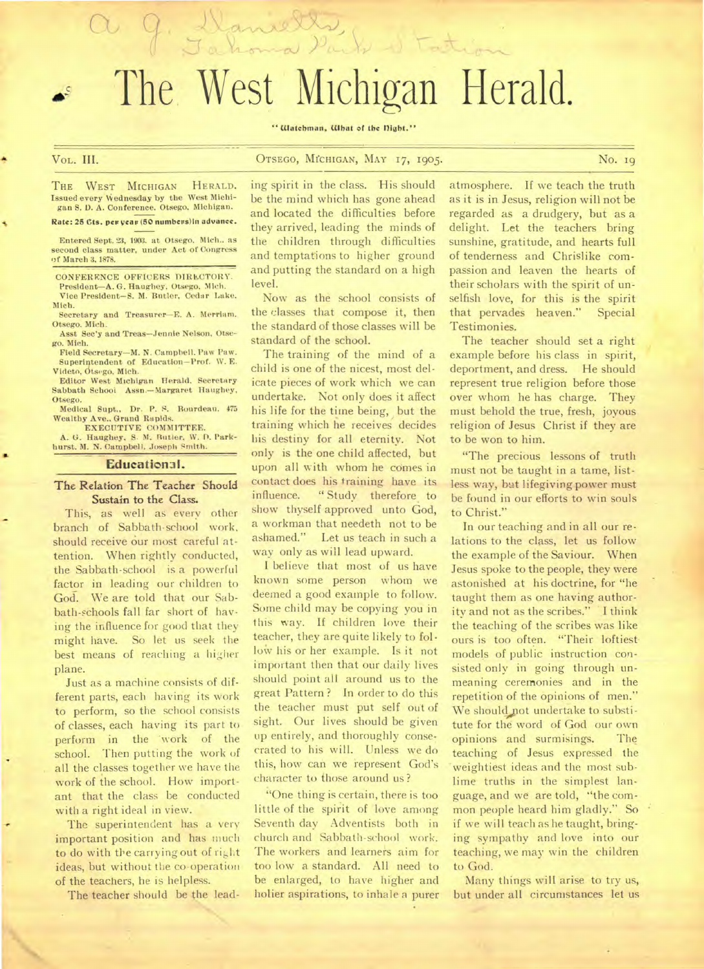The West Michigan Herald.

Cancella,

" Watchman, What of the Dight."

•

## • VoL. III. OTSEGO, MICHIGAN, MAY I7, 1905. No. 19

THE WEST MICHIGAN HERALD. Issued every Wednesday by the West Michigan S. 1). A. Conference. Otsego, Michigan.

## Rate: 25 Cts. **per year (50** numbess)in advance.

Entered Sept. 23, 1903. at Otsego. Mich.. as second class matter, under Act of Congress of March 3, 1878.

CONFERENCE OFFICERS DIRECTORY. President—A. G. Haughey, Otsego, Mich.

Vice President—S. M. Butler, Cedar Lake, Mich.

Secretary and Treasurer—E. A. Merriam. Otsego. Mich.

Asst Sec'y and Treas—Jennie Nelson. Otsego. Mich.

Field Secretary—M. N. Campbell. Paw Paw. Superintendent of Education—Prof. W. E. Videto, Otsego. Mich.

Editor West Michigan Herald. Secretary Sabbath Schooi Assn.—Margaret Haughey, Otsego.

Medical Supt.. Dr. P. S. Rourdeau. 475 Wealthy Ave.. Grand Rapids.

EXECUTIVE COMMITTEE.<br>
A. G. Haughey, S. N. Butler, W. D. Park-<br>
hurst. M. N. Campbell. Joseph Smith.

## **Educational.**

## The Relation The Teacher Should Sustain to the Class.

This, as well as every other branch of Sabbath-school work, should receive our most careful attention. When rightly conducted, the Sabbath-school is a powerful factor in leading our children to God. We are told that our Sabbath-schools fall far short of having the influence for good that they might have. So let us seek the best means of reaching a higher plane.

Just as a machine consists of different parts, each having its work to perform, so the school consists of classes, each having its part to perform in the 'work of the school. Then putting the work of all the classes together we have the work of the school. How important that the class be conducted with a right ideal in view.

The superintendent has a very important position and has much to do with the carrying out of right ideas, but without the co-operation of the teachers, he is helpless.

The teacher should be the lead-

ing spirit in the class. His should be the mind which has gone ahead and located the difficulties before they arrived, leading the minds of the children through difficulties and temptations to higher ground and putting the standard on a high level.

Now as the school consists of the classes that compose it, then the standard of those classes will be standard of the school.

The training of the mind of a child is one of the nicest, most delicate pieces of work which we can undertake. Not only does it affect his life for the time being, but the training which he receives decides his destiny for all eternity. Not only is the one child affected, but upon all with whom he comes in contact does his training have its influence. " Study therefore to show thyself approved unto God, a workman that needeth not to be ashamed." Let us teach in such a way only as will lead upward.

I believe that most of us have known some person whom we deemed a good example to follow. Some child may be copying you in this way. If children love their teacher, they are quite likely to follov his or her example. Is it not important then that our daily lives should point all around us to the great Pattern ? In order to do this the teacher must put self out of sight. Our lives should be given up entirely, and thoroughly consecrated to his will. Unless we do this, how can we represent God's character to those around us ?

"One thing is certain, there is too little of the spirit of love among Seventh day Adventists both in church and Sabbath-school work. The workers and learners aim for too low a standard. All need to be enlarged, to have higher and holier aspirations, to inhale a purer atmosphere. If we teach the truth as it is in Jesus, religion will not be regarded as a drudgery, but as a delight. Let the teachers bring sunshine, gratitude, and hearts full of tenderness and Chrislike compassion and leaven the hearts of their scholars with the spirit of unselfish love, for this is the spirit that pervades heaven." Special Testimonies.

The teacher should set a right example before his class in spirit, deportment, and dress. He should represent true religion before those over whom he has charge. They must behold the true, fresh, joyous religion of Jesus Christ if they are to be won to him.

"The precious lessons of truth must not be taught in a tame, listless way, but lifegiving power must be found in our efforts to win souls to Christ."

In our teaching and in all our relations to the class, let us follow the example of the Saviour. When Jesus spoke to the people, they were astonished at his doctrine, for "he taught them as one having authority and not as the scribes." I think the teaching of the scribes was like ours is too often. "Their loftiestmodels of public instruction consisted only in going through unmeaning ceremonies and in the repetition of the opinions of men." We should not undertake to substitute for the word of God our own opinions and surmisings. The teaching of Jesus expressed the 'weightiest ideas and the most sublime truths in the simplest language, and we are told, "the common people heard him gladly." So if we will teach as he taught, bringing sympathy and love into our teaching, we may win the children to God.

Many things will arise to try us, but under all circumstances let us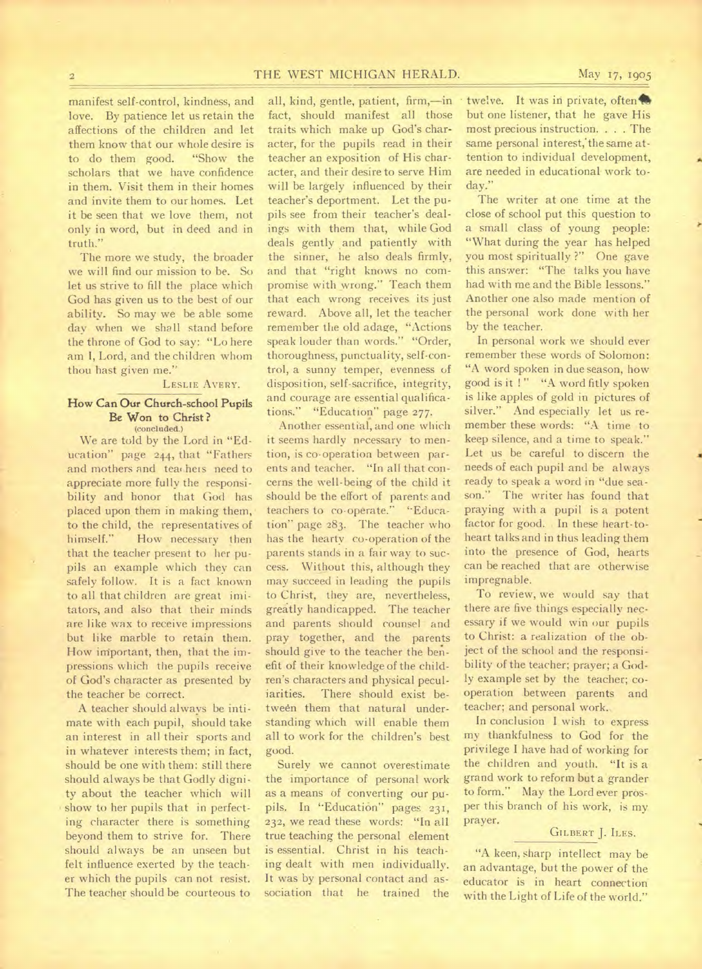## 2 THE WEST MICHIGAN HERALD. May 17, 1905

manifest self-control, kindness, and love. By patience let us retain the affections of the children and let them know that our whole desire is to do them good. "Show the scholars that we have confidence in them. Visit them in their homes and invite them to our homes. Let it be seen that we love them, not only in word, but in deed and in truth."

The more we study, the broader we will find our mission to be. So let us strive to fill the place which God has given us to the best of our ability. So may we be able some day when we shall stand before the throne of God to say: "Lo here am I, Lord, and the children whom thou hast given me."

## LESLIE AVERY.

### How Can Our Church-school Pupils Be **Won to** Christ ? (concluded.)

We are told by the Lord in "Education" page 244, that "Fathers and mothers and teachers need to appreciate more fully the responsibility and honor that God has placed upon them in making them, to the child, the representatives of himself." How necessary then that the teacher present to her pupils an example which they can safely follow. It is a fact known to all that children are great imitators, and also that their minds are like wax to receive impressions but like marble to retain them. How important, then, that the impressions which the pupils receive of God's character as presented by the teacher be correct.

A teacher should always be intimate with each pupil, should take an interest in all their sports and in whatever interests them; in fact, should be one with them: still there should always be that Godly dignity about the teacher which will show to her pupils that in perfecting character there is something beyond them to strive for. There should always be an unseen but felt influence exerted by the teacher which the pupils can not resist. The teacher should be courteous to

all, kind, gentle, patient, firm,—in fact, should manifest all those traits which make up God's character, for the pupils read in their teacher an exposition of His character, and their desire to serve Him will be largely influenced by their teacher's deportment. Let the pupils see from their teacher's dealings with them that, while God deals gently and patiently with the sinner, he also deals firmly, and that "right knows no compromise with wrong." Teach them that each wrong receives its just reward. Above all, let the teacher remember the old adage, "Actions speak louder than words." "Order, thoroughness, punctuality, self-control, a sunny temper, evenness of disposition, self-sacrifice, integrity, and courage are essential qualifications." "Education" page 277.

Another essential, and one which it seems hardly necessary to mention, is co-operation between parents and teacher. "In all that concerns the well-being of the child it should be the effort of parents and teachers to co-operate." "Education" page 283. The teacher who has the hearty co-operation of the parents stands in a fair way to success. Without this, although they may succeed in leading the pupils to Christ, they are, nevertheless, greatly handicapped. The teacher and parents should counsel and pray together, and the parents should give to the teacher the benefit of their knowledge of the children's characters and physical peculiarities. There should exist between them that natural understanding which will enable them all to work for the children's best good.

Surely we cannot overestimate the importance of personal work as a means of converting our pupils. In "Education" pages 231, 232, we read these words: "In all true teaching the personal element is essential. Christ in his teaching dealt with men individually. It was by personal contact and association that he trained the

twelve. It was in private, often but one listener, that he gave His most precious instruction. . . . The same personal interest; the same attention to individual development, are needed in educational work today."

The writer at one time at the close of school put this question to a small class of young people: "What during the year has helped you most spiritually ?" One gave this answer: "The talks you have had with me and the Bible lessons." Another one also made mention of the personal work done with her by the teacher.

In personal work we should ever remember these words of Solomon: "A word spoken in due season, how good is it !" "A word fitly spoken is like apples of gold in pictures of silver." And especially let us remember these words: "A time to keep silence, and a time to speak." Let us be careful to discern the needs of each pupil and be always ready to speak a word in "due season." The writer has found that praying with a pupil is a potent factor for good. In these heart-toheart talks and in thus leading them into the presence of God, hearts can be reached that are otherwise impregnable.

To review, we would say that there are five things especially necessary if we would win our pupils to Christ: a realization of the object of the school and the responsibility of the teacher; prayer; a Godly example set by the teacher; cooperation between parents and teacher; and personal work..

In conclusion I wish to express my thankfulness to God for the privilege I have had of working for the children and youth. "It is a grand work to reform but a grander to form." May the Lord ever prosper this branch of his work, is my prayer.

## GILBERT J. ILES.

"A keen, sharp intellect may be an advantage, but the power of the educator is in heart connection with the Light of Life of the world."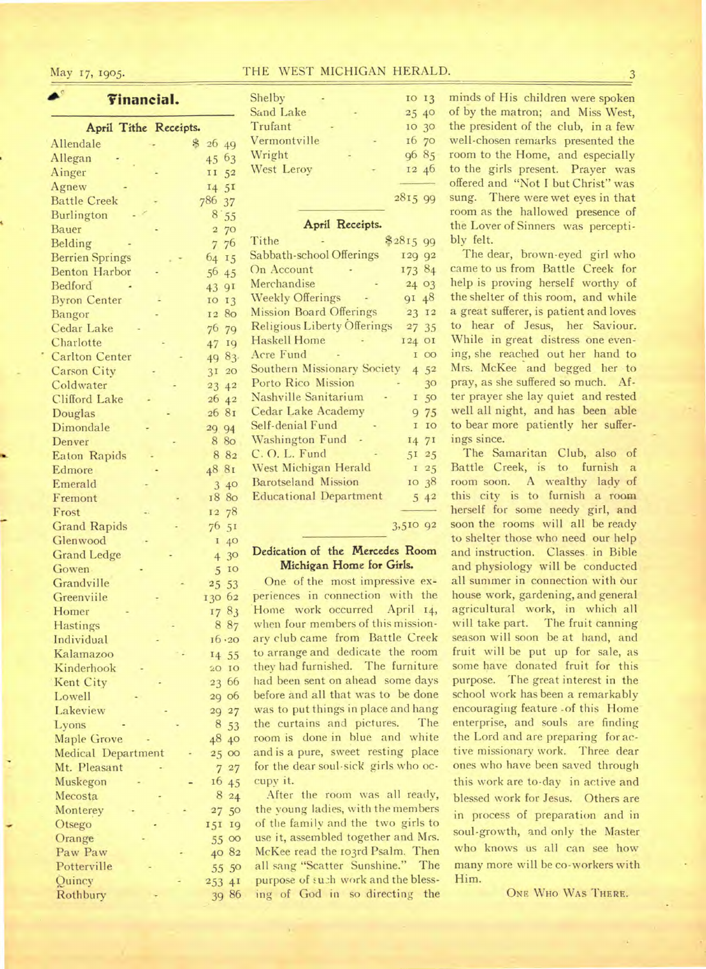♦*(7* 

# **Financial.**

| April Tithe Receipts.                          |                                  |
|------------------------------------------------|----------------------------------|
| Allendale                                      | $\clubsuit$                      |
|                                                | 26 49                            |
| Allegan                                        | 63<br>45                         |
| Ainger                                         | 52<br>11                         |
| Agnew                                          | 5 <sub>I</sub><br>14             |
| <b>Battle Creek</b>                            | 786<br>37                        |
| Burlington                                     | 8<br>55                          |
| <b>Bauer</b>                                   | 70<br>$\overline{\mathbf{2}}$    |
| Belding                                        | 76<br>$\overline{7}$             |
| <b>Berrien Springs</b><br><b>Benton Harbor</b> | 64<br>15                         |
| Bedford                                        | 56<br>45                         |
| <b>Byron Center</b>                            | 91<br>43<br>10                   |
| Bangor                                         | 13<br>80<br>12                   |
| Cedar Lake                                     | 76 79                            |
| Charlotte                                      | 19<br>47                         |
| <b>Carlton Center</b>                          | 83.<br>49                        |
| <b>Carson City</b>                             | 3I<br>20                         |
| Coldwater                                      | 23<br>4 <sup>2</sup>             |
| <b>Clifford Lake</b>                           | 2642                             |
| Douglas                                        | 26 81                            |
| Dimondale                                      | 29 94                            |
| Denver                                         | 8 8o                             |
| <b>Eaton Rapids</b>                            | 8 8 2                            |
| Edmore                                         | 48 8I                            |
| Emerald                                        | 40<br>3                          |
| Fremont                                        | 18 80                            |
| Frost                                          | 12 78                            |
| <b>Grand Rapids</b>                            | 76<br>5 <sub>I</sub>             |
| Glenwood                                       | I<br>40                          |
| <b>Grand Ledge</b>                             | 3 <sup>o</sup><br>$\overline{4}$ |
| Gowen-                                         | IO<br>5                          |
| Grandville                                     | 25 53                            |
| Greenviile                                     | 130 62                           |
| Homer                                          | 1783                             |
| <b>Hastings</b>                                | 8 87                             |
| Individual                                     | 16.20                            |
| Kalamazoo                                      | 14 55                            |
| Kinderhook                                     | IO<br>20                         |
| Kent City                                      | 23 66                            |
| Lowell                                         | 29 06                            |
| Lakeview                                       | 29<br>27                         |
| Lyons                                          | 8<br>53                          |
| <b>Maple Grove</b>                             | 48<br>40                         |
| <b>Medical Department</b>                      | 25<br>$\infty$                   |
| Mt. Pleasant                                   | $\overline{7}$<br>27             |
| Muskegon                                       | 16<br>45                         |
| Mecosta                                        | 8<br>24                          |
| Monterey                                       | 27<br>50                         |
| Otsego                                         | 19<br>151                        |
| Orange                                         | $\overline{O}O$<br>55            |
| Paw Paw                                        | 40 82                            |
| Potterville                                    | 50<br>55                         |
| Quincy                                         | 4 <sub>I</sub><br>253            |
| Rothbury                                       | 86<br>39                         |

| May 17, 1905. |  | THE WEST MICHIGAN HERALD. |  |  |
|---------------|--|---------------------------|--|--|
|               |  |                           |  |  |

| Shelby       |  | IO 13  |  |
|--------------|--|--------|--|
| Sand Lake    |  | 25 40  |  |
| Trufant      |  | 10 30  |  |
| Vermontville |  | 16 70  |  |
| Wright       |  | 96 85  |  |
| West Leroy   |  | 12 46  |  |
|              |  |        |  |
|              |  | 281599 |  |

## April Receipts.

| Tithe                              | \$281599            |
|------------------------------------|---------------------|
| Sabbath-school Offerings           | 129 92              |
| On Account                         | 173 84              |
| Merchandise                        | 24 03               |
| <b>Weekly Offerings</b>            | 91 48               |
| <b>Mission Board Offerings</b>     | 23 12               |
| <b>Religious Liberty Offerings</b> | 27 35               |
| <b>Haskell Home</b>                | 124 OI              |
| Acre Fund                          | $\overline{O}$<br>T |
| Southern Missionary Society        | $4 \, 5^2$          |
| Porto Rico Mission                 | 30                  |
| Nashville Sanitarium               | I <sub>50</sub>     |
| Cedar Lake Academy                 | 9 75                |
| Self-denial Fund                   | IO<br>$\mathbf{I}$  |
| Washington Fund                    | 14 7I               |
| C. O. L. Fund                      | 5I <sub>25</sub>    |
| West Michigan Herald               | 125                 |
| <b>Barotseland Mission</b>         | 10 38               |
| <b>Educational Department</b>      | 542                 |
|                                    |                     |

## 3,510 92

## **Dedication of the Mercedes Room Michigan Home for Girls.**

One of the most impressive experiences in connection with the Home work occurred April 14, when four members of this missionary club came from Battle Creek to arrange and dedicate the room they had furnished. The furniture had been sent on ahead some days before and all that was to be done was to put things in place and hang the curtains and pictures. The room is done in blue and white and is a pure, sweet resting place for the dear soul-sick girls who occupy it.

After the room was all ready, the young ladies, with the members of the family and the two girls to use it, assembled together and Mrs. McKee read the 103rd Psalm. Then all sang "Scatter Sunshine." The purpose of such work and the blessing of God in so directing the

minds of His children were spoken of by the matron; and Miss West, the president of the club, in a few well-chosen remarks presented the room to the Home, and especially to the girls present. Prayer was offered and "Not I but Christ" was sung. There were wet eyes in that room as the hallowed presence of the Lover of Sinners was perceptibly felt.

The dear, brown-eyed girl who came to us from Battle Creek for help is proving herself worthy of the shelter of this room, and while a great sufferer, is patient and loves to hear of Jesus, her Saviour. While in great distress one evening, she reached out her hand to Mrs. McKee and begged her to pray, as she suffered so much. After prayer she lay quiet and rested well all night, and has been able to bear more patiently her sufferings since.

The Samaritan Club, also of Battle Creek, is to furnish a room soon. A wealthy lady of this city is to furnish a room herself for some needy girl, and soon the rooms will all be ready to shelter those who need our help and instruction. Classes. in Bible and physiology will be conducted all summer in connection with our house work, gardening, and general agricultural work, in which all will take part. The fruit canning season will soon be at hand, and fruit will be put up for sale, as some have donated fruit for this purpose. The great interest in the school work has been a remarkably encouraging feature -of this Home enterprise, and souls are finding the Lord and are preparing for active missionary work. Three dear ones who have been saved through this work are to-day in active and blessed work for Jesus. Others are in process of preparation and in soul-growth, and only the Master who knows us all can see how many more will be co-workers with Him.

ONE WHO WAS THERE.